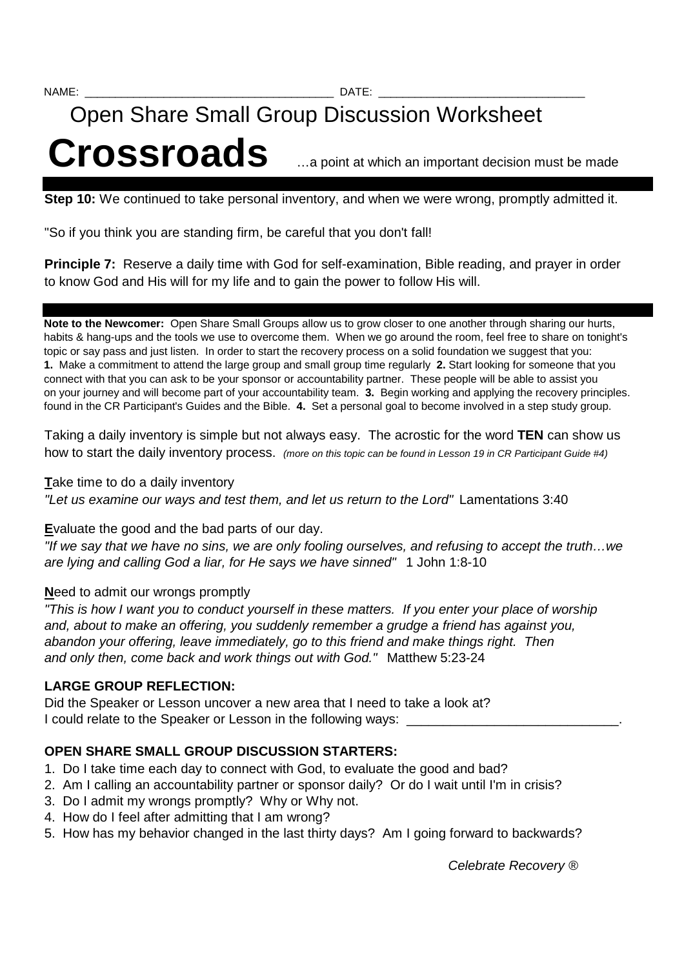# Open Share Small Group Discussion Worksheet Crossroads <br>
<u>Crossroads</u> <br>
<u>Crossroads</u> <br> **Crossroads**

**Step 10:** We continued to take personal inventory, and when we were wrong, promptly admitted it.

"So if you think you are standing firm, be careful that you don't fall!

**Principle 7:** Reserve a daily time with God for self-examination, Bible reading, and prayer in order to know God and His will for my life and to gain the power to follow His will.

**Note to the Newcomer:** Open Share Small Groups allow us to grow closer to one another through sharing our hurts, habits & hang-ups and the tools we use to overcome them. When we go around the room, feel free to share on tonight's topic or say pass and just listen. In order to start the recovery process on a solid foundation we suggest that you: **1.** Make a commitment to attend the large group and small group time regularly **2.** Start looking for someone that you connect with that you can ask to be your sponsor or accountability partner. These people will be able to assist you on your journey and will become part of your accountability team. **3.** Begin working and applying the recovery principles. found in the CR Participant's Guides and the Bible. **4.** Set a personal goal to become involved in a step study group.

Taking a daily inventory is simple but not always easy. The acrostic for the word **TEN** can show us how to start the daily inventory process. (more on this topic can be found in Lesson 19 in CR Participant Guide #4)

#### **T**ake time to do a daily inventory

"Let us examine our ways and test them, and let us return to the Lord" Lamentations 3:40

## **E**valuate the good and the bad parts of our day.

"If we say that we have no sins, we are only fooling ourselves, and refusing to accept the truth…we are lying and calling God a liar, for He says we have sinned" 1 John 1:8-10

## **N**eed to admit our wrongs promptly

"This is how I want you to conduct yourself in these matters. If you enter your place of worship and, about to make an offering, you suddenly remember a grudge a friend has against you, abandon your offering, leave immediately, go to this friend and make things right. Then and only then, come back and work things out with God." Matthew 5:23-24

## **LARGE GROUP REFLECTION:**

Did the Speaker or Lesson uncover a new area that I need to take a look at? I could relate to the Speaker or Lesson in the following ways:

# **OPEN SHARE SMALL GROUP DISCUSSION STARTERS:**

- 1. Do I take time each day to connect with God, to evaluate the good and bad?
- 2. Am I calling an accountability partner or sponsor daily? Or do I wait until I'm in crisis?
- 3. Do I admit my wrongs promptly? Why or Why not.
- 4. How do I feel after admitting that I am wrong?
- 5. How has my behavior changed in the last thirty days? Am I going forward to backwards?

Celebrate Recovery ®